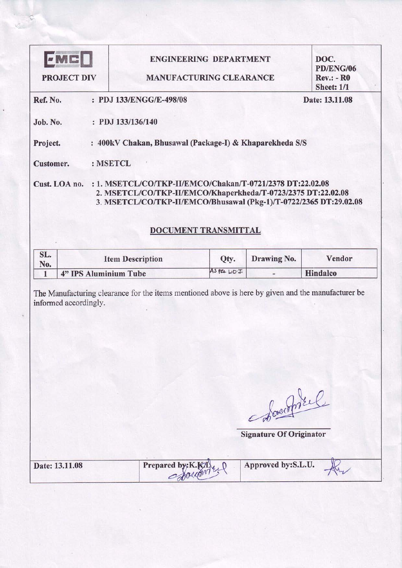| FMC D<br><b>PROJECT DIV</b>                  |                                                                                                    | <b>ENGINEERING DEPARTMENT</b><br><b>MANUFACTURING CLEARANCE</b> |                                           | DOC.<br><b>PD/ENG/06</b><br><b>Rev.: - R0</b><br><b>Sheet: 1/1</b> |
|----------------------------------------------|----------------------------------------------------------------------------------------------------|-----------------------------------------------------------------|-------------------------------------------|--------------------------------------------------------------------|
| Ref. No.                                     | : PDJ 133/ENGG/E-498/08                                                                            |                                                                 |                                           | Date: 13.11.08                                                     |
| Job. No.                                     | : PDJ 133/136/140                                                                                  |                                                                 |                                           |                                                                    |
| Project.                                     | : 400kV Chakan, Bhusawal (Package-I) & Khaparekheda S/S                                            |                                                                 |                                           |                                                                    |
| Customer.                                    | : MSETCL                                                                                           |                                                                 |                                           |                                                                    |
|                                              | 3. MSETCL/CO/TKP-II/EMCO/Bhusawal (Pkg-1)/T-0722/2365 DT:29.02.08                                  | DOCUMENT TRANSMITTAL                                            |                                           |                                                                    |
|                                              |                                                                                                    |                                                                 |                                           |                                                                    |
| SL.                                          | <b>Item Description</b>                                                                            | Qty.                                                            | Drawing No.                               | Vendor                                                             |
| No.<br>4" IPS Aluminium Tube<br>$\mathbf{1}$ | The Manufacturing clearance for the items mentioned above is here by given and the manufacturer be | AS PCE LO.I.                                                    | ٠                                         | Hindalco                                                           |
|                                              |                                                                                                    |                                                                 |                                           |                                                                    |
| informed accordingly.                        |                                                                                                    |                                                                 | Abarrel<br><b>Signature Of Originator</b> |                                                                    |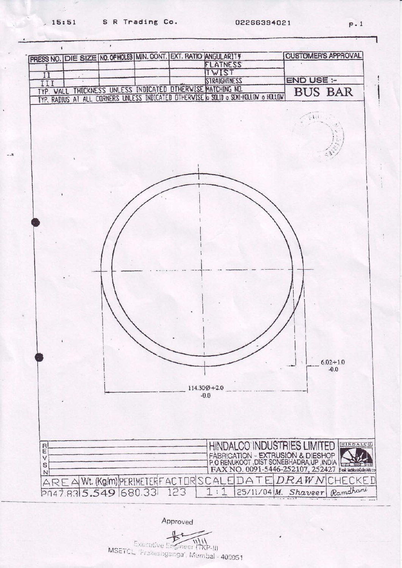

Approved

 $\mathcal{P}$  $\frac{1}{11}$ Executive Engineer (TKP-II) MSETCL, 'Frakesinganga', Mumbai - 400051

 $P.1$